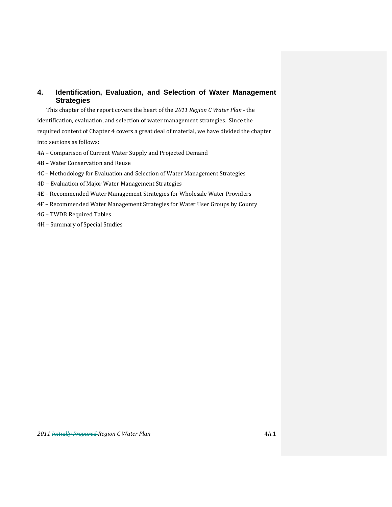## **4. Identification, Evaluation, and Selection of Water Management Strategies**

This chapter of the report covers the heart of the *2011 Region C Water Plan* ‐ the identification, evaluation, and selection of water management strategies. Since the required content of Chapter 4 covers a great deal of material, we have divided the chapter into sections as follows:

- 4A Comparison of Current Water Supply and Projected Demand
- 4B Water Conservation and Reuse
- 4C Methodology for Evaluation and Selection of Water Management Strategies
- 4D Evaluation of Major Water Management Strategies
- 4E Recommended Water Management Strategies for Wholesale Water Providers
- 4F Recommended Water Management Strategies for Water User Groups by County
- 4G TWDB Required Tables
- 4H Summary of Special Studies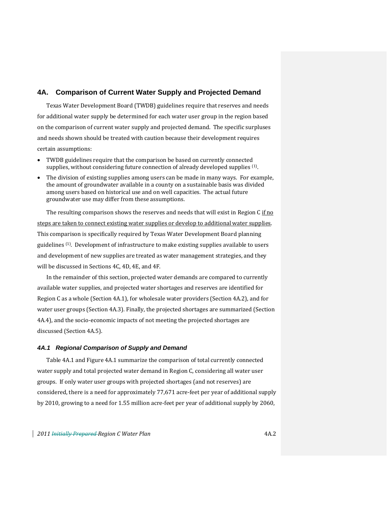## **4A. Comparison of Current Water Supply and Projected Demand**

Texas Water Development Board (TWDB) guidelines require that reserves and needs for additional water supply be determined for each water user group in the region based on the comparison of current water supply and projected demand. The specific surpluses and needs shown should be treated with caution because their development requires certain assumptions:

- TWDB guidelines require that the comparison be based on currently connected supplies, without considering future connection of already developed supplies  $(1)$ .
- The division of existing supplies among users can be made in many ways. For example, the amount of groundwater available in a county on a sustainable basis was divided among users based on historical use and on well capacities. The actual future groundwater use may differ from these assumptions.

The resulting comparison shows the reserves and needs that will exist in Region C if no steps are taken to connect existing water supplies or develop to additional water supplies. This comparison is specifically required by Texas Water Development Board planning guidelines (1). Development of infrastructure to make existing supplies available to users and development of new supplies are treated as water management strategies, and they will be discussed in Sections 4C, 4D, 4E, and 4F.

In the remainder of this section, projected water demands are compared to currently available water supplies, and projected water shortages and reserves are identified for Region C as a whole (Section 4A.1), for wholesale water providers (Section 4A.2), and for water user groups (Section 4A.3). Finally, the projected shortages are summarized (Section 4A.4), and the socio-economic impacts of not meeting the projected shortages are discussed (Section 4A.5).

#### *4A.1 Regional Comparison of Supply and Demand*

Table 4A.1 and Figure 4A.1 summarize the comparison of total currently connected water supply and total projected water demand in Region C, considering all water user groups. If only water user groups with projected shortages (and not reserves) are considered, there is a need for approximately 77,671 acre‐feet per year of additional supply by 2010, growing to a need for 1.55 million acre‐feet per year of additional supply by 2060,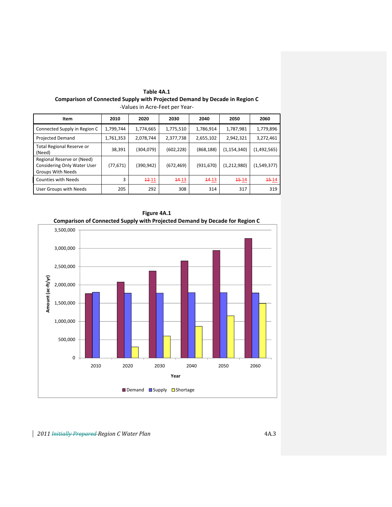| Item                                                                           | 2010      | 2020      | 2030       | 2040       | 2050          | 2060              |
|--------------------------------------------------------------------------------|-----------|-----------|------------|------------|---------------|-------------------|
| Connected Supply in Region C                                                   | 1,799,744 | 1,774,665 | 1,775,510  | 1,786,914  | 1,787,981     | 1,779,896         |
| <b>Projected Demand</b>                                                        | 1,761,353 | 2,078,744 | 2,377,738  | 2,655,102  | 2,942,321     | 3,272,461         |
| Total Regional Reserve or<br>(Need)                                            | 38,391    | (304,079) | (602, 228) | (868, 188) | (1, 154, 340) | (1,492,565)       |
| Regional Reserve or (Need)<br>Considering Only Water User<br>Groups With Needs | (77, 671) | (390,942) | (672, 469) | (931, 670) | (1,212,980)   | (1,549,377)       |
| <b>Counties with Needs</b>                                                     | 3         | $12 - 11$ | $14 - 13$  | $14 - 13$  | $15-14$       | <del>15</del> -14 |
| User Groups with Needs                                                         | 205       | 292       | 308        | 314        | 317           | 319               |

**Table 4A.1 Comparison of Connected Supply with Projected Demand by Decade in Region C** ‐Values in Acre‐Feet per Year‐



**Figure 4A.1 Comparison of Connected Supply with Projected Demand by Decade for Region C**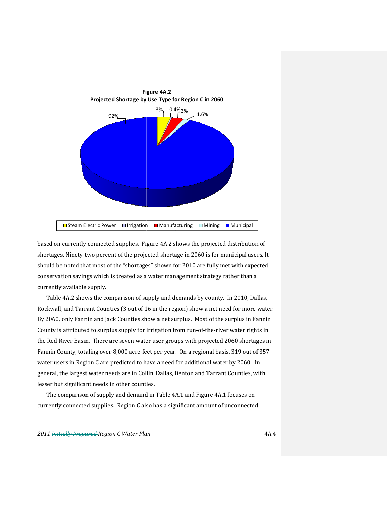

based on currently connected supplies. Figure 4A.2 shows the projected distribution of shortages. Ninety-two percent of the projected shortage in 2060 is for municipal users. It should be noted that most of the "shortages" shown for 2010 are fully met with expected conservation savings which is treated as a water management strategy rather than a currently y available supply.

Table 4A.2 shows the comparison of supply and demands by county. In 2010, Dallas, Rockwall, and Tarrant Counties (3 out of 16 in the region) show a net need for more water. By 2060, only Fannin and Jack Counties show a net surplus. Most of the surplus in Fannin County is attributed to surplus supply for irrigation from run-of-the-river water rights in the Red River Basin. There are seven water user groups with projected 2060 shortages in Fannin County, totaling over 8,000 acre-feet per year. On a regional basis, 319 out of 357 water users in Region C are predicted to have a need for additional water by 2060. In general, the largest water needs are in Collin, Dallas, Denton and Tarrant Counties, with lesser but significant needs in other counties.

The comparison of supply and demand in Table 4A.1 and Figure 4A.1 focuses on currently connected supplies. Region C also has a significant amount of unconnected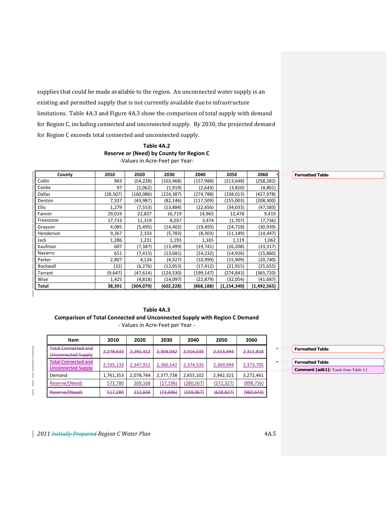supplies that could be made available to the region. An unconnected water supply is an existing and permitted supply that is not currently available due to infrastructure limitations. Table 4A.3 and Figure 4A.3 show the comparison of total supply with demand for Region C, including connected and unconnected supply. By 2030, the projected demand for Region C exceeds total connected and unconnected supply.

## **Table 4A.2 Reserve or (Need) by County for Region C** ‐Values in Acre‐Feet per Year‐

| County       | 2010      | 2020       | 2030      | 2040       | 2050          | 2060        | <b>Formatted Table</b> |
|--------------|-----------|------------|-----------|------------|---------------|-------------|------------------------|
| Collin       | 983       | (54, 228)  | (103,468) | (157, 988) | (213, 648)    | (258, 282)  |                        |
| Cooke        | 97        | (1,062)    | (1, 919)  | (2,643)    | (3,810)       | (4,801)     |                        |
| Dallas       | (28, 507) | (160, 086) | (224,387) | (274, 788) | (338,013)     | (427,978)   |                        |
| Denton       | 7,337     | (43, 987)  | (82, 146) | (117, 509) | (155,003)     | (208,300)   |                        |
| <b>Ellis</b> | 1,279     | (7, 553)   | (13, 884) | (22, 656)  | (34, 033)     | (47, 583)   |                        |
| Fannin       | 29,019    | 22,837     | 16,719    | 14,965     | 12,478        | 9,419       |                        |
| Freestone    | 17,733    | 11,319     | 8,037     | 3,474      | (1,707)       | (7, 736)    |                        |
| Grayson      | 4,085     | (5, 495)   | (14, 402) | (19, 493)  | (24, 718)     | (30,939)    |                        |
| Henderson    | 9,267     | 2,333      | (5, 783)  | (8, 303)   | (11, 149)     | (14, 447)   |                        |
| Jack         | 1,286     | 1,231      | 1,193     | 1,165      | 1,119         | 1,062       |                        |
| Kaufman      | 607       | (7, 387)   | (13, 499) | (19, 741)  | (26, 208)     | (33, 317)   |                        |
| Navarro      | 651       | (7, 415)   | (13, 681) | (14, 232)  | (14, 926)     | (15,860)    |                        |
| Parker       | 2,807     | 4,124      | (4, 327)  | (10, 999)  | (15,909)      | (20, 740)   |                        |
| Rockwall     | (32)      | (6, 276)   | (12,053)  | (17, 412)  | (21, 915)     | (25, 655)   |                        |
| Tarrant      | (9,647)   | (47, 614)  | (124,530) | (199, 147) | (274, 843)    | (365,720)   |                        |
| Wise         | 1,425     | (4,818)    | (14,097)  | (22, 879)  | (32,054)      | (41,687)    |                        |
| Total        | 38,391    | (304,079)  | (602,228) | (868, 188) | (1, 154, 340) | (1,492,565) |                        |

| Table 4A.3                                                                       |
|----------------------------------------------------------------------------------|
| <b>Comparison of Total Connected and Unconnected Supply with Region C Demand</b> |
| Values in Asse Fest non Vear                                                     |

‐ Values in Acre‐Feet per Year ‐

| Item                                                    | 2010      | 2020      | 2030      | 2040                 | 2050                                    | 2060       |
|---------------------------------------------------------|-----------|-----------|-----------|----------------------|-----------------------------------------|------------|
| <b>Total Connected and</b><br>Unconnected Supply        | 2,278,633 | 2,291,412 | 2,304,042 | 2,316,035            | 2,313,494                               | 2,311,818  |
| <b>Total Connected and</b><br><b>Unconnected Supply</b> | 2,335,133 | 2,347,912 | 2,360,542 | 2,374,535            | 2,369,994                               | 2,373,705  |
| Demand                                                  | 1,761,353 | 2,078,744 | 2,377,738 | 2,655,102            | 2,942,321                               | 3,272,461  |
| Reserve/(Need)                                          | 573,780   | 269,168   | (17, 196) | <u>(280,567)</u>     | (572, 327)                              | (898, 756) |
| Reserve/(Need)                                          | 517,280   | 212,668   | (73,696)  | <del>(339,067)</del> | <u>1628 8271</u><br><del>,020,027</del> | (960, 643) |

| <b>Formatted Table</b>                |
|---------------------------------------|
| <b>Formatted Table</b>                |
| Comment [adk1]: Totals from Table 3.1 |

*2011 Initially Prepared Region C Water Plan* 4A.5

 $\overline{\phantom{a}}$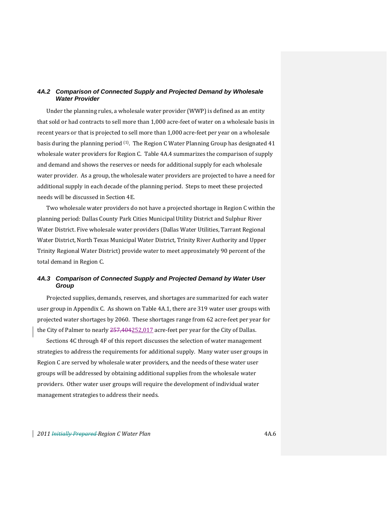## *4A.2 Comparison of Connected Supply and Projected Demand by Wholesale Water Provider*

Under the planning rules, a wholesale water provider (WWP) is defined as an entity that sold or had contracts to sell more than 1,000 acre-feet of water on a wholesale basis in recent years or that is projected to sell more than 1,000 acre-feet per year on a wholesale basis during the planning period (1). The Region C Water Planning Group has designated 41 wholesale water providers for Region C. Table 4A.4 summarizes the comparison of supply and demand and shows the reserves or needs for additional supply for each wholesale water provider. As a group, the wholesale water providers are projected to have a need for additional supply in each decade of the planning period. Steps to meet these projected needs will be discussed in Section 4E.

Two wholesale water providers do not have a projected shortage in Region C within the planning period: Dallas County Park Cities Municipal Utility District and Sulphur River Water District. Five wholesale water providers (Dallas Water Utilities, Tarrant Regional Water District, North Texas Municipal Water District, Trinity River Authority and Upper Trinity Regional Water District) provide water to meet approximately 90 percent of the total demand in Region C.

## *4A.3 Comparison of Connected Supply and Projected Demand by Water User Group*

Projected supplies, demands, reserves, and shortages are summarized for each water user group in Appendix C. As shown on Table 4A.1, there are 319 water user groups with projected water shortages by 2060. These shortages range from 62 acre‐feet per year for the City of Palmer to nearly 257,404252,017 acre-feet per year for the City of Dallas.

Sections 4C through 4F of this report discusses the selection of water management strategies to address the requirements for additional supply. Many water user groups in Region C are served by wholesale water providers, and the needs of these water user groups will be addressed by obtaining additional supplies from the wholesale water providers. Other water user groups will require the development of individual water management strategies to address their needs.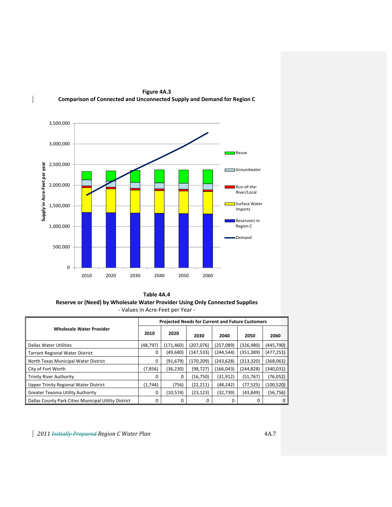

**Figure 4A.3 Comparison of Connected and Unconnected Supply and Demand for Region C**

**Table 4A.4 Reserve or (Need) by Wholesale Water Provider Using Only Connected Supplies** ‐ Values in Acre‐Feet per Year ‐

|                                                      | <b>Projected Needs for Current and Future Customers</b> |            |            |            |            |            |  |  |
|------------------------------------------------------|---------------------------------------------------------|------------|------------|------------|------------|------------|--|--|
| <b>Wholesale Water Provider</b>                      | 2010                                                    | 2020       | 2030       | 2040       | 2050       | 2060       |  |  |
| <b>Dallas Water Utilities</b>                        | (48, 797)                                               | (171, 460) | (207, 076) | (257,089)  | (326, 980) | (445,790)  |  |  |
| <b>Tarrant Regional Water District</b>               | $\Omega$                                                | (49,680)   | (147, 533) | (244, 544) | (351, 389) | (477, 251) |  |  |
| North Texas Municipal Water District                 | 0                                                       | (91, 679)  | (170, 209) | (243, 628) | (313,320)  | (368,061)  |  |  |
| City of Fort Worth                                   | (7,856)                                                 | (36, 230)  | (98, 727)  | (166, 043) | (244,828)  | (340, 031) |  |  |
| <b>Trinity River Authority</b>                       | 0                                                       | 0          | (16, 750)  | (31, 912)  | (51, 767)  | (76, 052)  |  |  |
| Upper Trinity Regional Water District                | (1,744)                                                 | (756)      | (22, 211)  | (48, 242)  | (77, 525)  | (100, 520) |  |  |
| <b>Greater Texoma Utility Authority</b>              | 0                                                       | (10, 574)  | (23, 123)  | (32, 739)  | (43, 849)  | (56,756)   |  |  |
| Dallas County Park Cities Municipal Utility District |                                                         | 0          |            |            | 0          |            |  |  |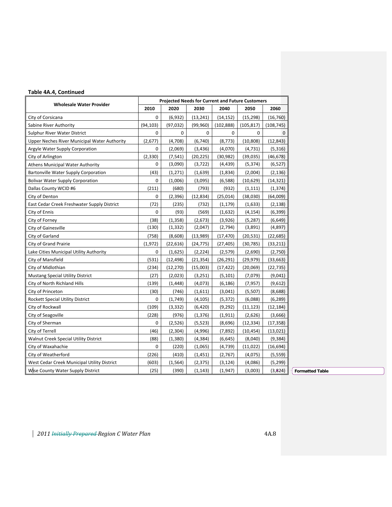## **Table 4A.4, Continued**

| <b>Wholesale Water Provider</b>              |             | <b>Projected Needs for Current and Future Customers</b> |           |            |             |            |
|----------------------------------------------|-------------|---------------------------------------------------------|-----------|------------|-------------|------------|
|                                              | 2010        | 2020                                                    | 2030      | 2040       | 2050        | 2060       |
| City of Corsicana                            | $\mathbf 0$ | (6,932)                                                 | (13, 241) | (14, 152)  | (15, 298)   | (16, 760)  |
| Sabine River Authority                       | (94, 103)   | (97, 032)                                               | (99, 960) | (102, 888) | (105, 817)  | (108, 745) |
| Sulphur River Water District                 | 0           | 0                                                       | 0         | 0          | $\mathbf 0$ | $\Omega$   |
| Upper Neches River Municipal Water Authority | (2,677)     | (4,708)                                                 | (6,740)   | (8, 773)   | (10, 808)   | (12, 843)  |
| Argyle Water Supply Corporation              | 0           | (2,069)                                                 | (3, 436)  | (4,070)    | (4, 731)    | (5, 316)   |
| City of Arlington                            | (2, 330)    | (7, 541)                                                | (20, 225) | (30, 982)  | (39,035)    | (46,678)   |
| <b>Athens Municipal Water Authority</b>      | 0           | (3,090)                                                 | (3, 722)  | (4, 439)   | (5, 374)    | (6, 527)   |
| Bartonville Water Supply Corporation         | (43)        | (1, 271)                                                | (1,639)   | (1,834)    | (2,004)     | (2, 136)   |
| <b>Bolivar Water Supply Corporation</b>      | $\Omega$    | (1,006)                                                 | (3,095)   | (6,588)    | (10,629)    | (14, 321)  |
| Dallas County WCID #6                        | (211)       | (680)                                                   | (793)     | (932)      | (1, 111)    | (1, 374)   |
| City of Denton                               | 0           | (2, 396)                                                | (12, 834) | (25, 014)  | (38,030)    | (64,009)   |
| East Cedar Creek Freshwater Supply District  | (72)        | (235)                                                   | (732)     | (1, 179)   | (1,633)     | (2, 138)   |
| City of Ennis                                | 0           | (93)                                                    | (569)     | (1,632)    | (4, 154)    | (6, 399)   |
| City of Forney                               | (38)        | (1, 358)                                                | (2,673)   | (3,926)    | (5, 287)    | (6, 649)   |
| City of Gainesville                          | (130)       | (1, 332)                                                | (2,047)   | (2,794)    | (3,891)     | (4,897)    |
| City of Garland                              | (758)       | (8,608)                                                 | (13,989)  | (17, 470)  | (20, 531)   | (22, 685)  |
| City of Grand Prairie                        | (1, 972)    | (22, 616)                                               | (24, 775) | (27, 405)  | (30, 785)   | (33, 211)  |
| Lake Cities Municipal Utility Authority      | 0           | (1,625)                                                 | (2, 224)  | (2, 579)   | (2,690)     | (2,750)    |
| City of Mansfield                            | (531)       | (12, 498)                                               | (21,354)  | (26, 291)  | (29,979)    | (33, 663)  |
| City of Midlothian                           | (234)       | (12, 270)                                               | (15,003)  | (17, 422)  | (20,069)    | (22, 735)  |
| Mustang Special Utility District             | (27)        | (2,023)                                                 | (3,251)   | (5, 101)   | (7,079)     | (9,041)    |
| City of North Richland Hills                 | (139)       | (1, 448)                                                | (4,073)   | (6, 186)   | (7, 957)    | (9,612)    |
| City of Princeton                            | (30)        | (746)                                                   | (1,611)   | (3,041)    | (5,507)     | (8,688)    |
| Rockett Special Utility District             | 0           | (1,749)                                                 | (4, 105)  | (5, 372)   | (6,088)     | (6, 289)   |
| City of Rockwall                             | (109)       | (3, 332)                                                | (6, 420)  | (9, 292)   | (11, 123)   | (12,184)   |
| City of Seagoville                           | (228)       | (976)                                                   | (1, 376)  | (1, 911)   | (2,626)     | (3,666)    |
| City of Sherman                              | 0           | (2,526)                                                 | (5, 523)  | (8,696)    | (12, 334)   | (17, 358)  |
| City of Terrell                              | (46)        | (2, 304)                                                | (4,996)   | (7,892)    | (10, 454)   | (13,021)   |
| Walnut Creek Special Utility District        | (88)        | (1, 380)                                                | (4, 384)  | (6, 645)   | (8,040)     | (9, 384)   |
| City of Waxahachie                           | 0           | (220)                                                   | (1,065)   | (4, 739)   | (11,022)    | (16, 694)  |
| City of Weatherford                          | (226)       | (410)                                                   | (1, 451)  | (2,767)    | (4,075)     | (5, 559)   |
| West Cedar Creek Municipal Utility District  | (603)       | (1, 564)                                                | (2, 375)  | (3, 124)   | (4,086)     | (5, 299)   |
| Wise County Water Supply District            | (25)        | (390)                                                   | (1, 143)  | (1, 947)   | (3,003)     | (3, 824)   |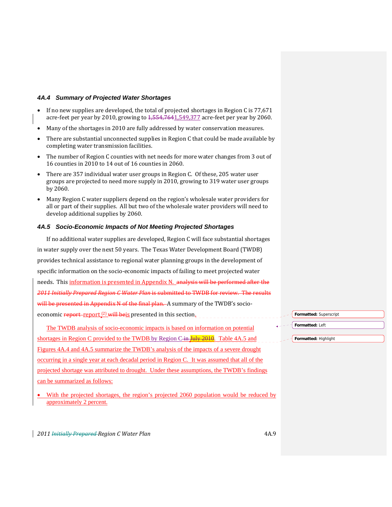#### *4A.4 Summary of Projected Water Shortages*

- If no new supplies are developed, the total of projected shortages in Region C is 77,671 acre-feet per year by 2010, growing to  $4,554,7641,549,377$  acre-feet per year by 2060.
- Many of the shortages in 2010 are fully addressed by water conservation measures.
- There are substantial unconnected supplies in Region C that could be made available by completing water transmission facilities.
- The number of Region C counties with net needs for more water changes from 3 out of 16 counties in 2010 to 14 out of 16 counties in 2060.
- There are 357 individual water user groups in Region C. Of these, 205 water user groups are projected to need more supply in 2010, growing to 319 water user groups by 2060.
- Many Region C water suppliers depend on the region's wholesale water providers for all or part of their supplies. All but two of the wholesale water providers will need to develop additional supplies by 2060.

#### *4A.5 Socio-Economic Impacts of Not Meeting Projected Shortages*

If no additional water supplies are developed, Region C will face substantial shortages in water supply over the next 50 years. The Texas Water Development Board (TWDB) provides technical assistance to regional water planning groups in the development of specific information on the socio‐economic impacts of failing to meet projected water needs. This information is presented in Appendix N. analysis will be performed after the *2011 Initially Prepared Region C Water Plan* is submitted to TWDB for review. The results will be presented in Appendix N of the final plan. A summary of the TWDB's socioeconomic report-report <sup>(2)</sup> will beis presented in this section. The TWDB analysis of socio-economic impacts is based on information on potential **Formatted:** Superscript **Formatted:** Left

shortages in Region C provided to the TWDB by Region C-in July 2010. Table 4A.5 and Figures 4A.4 and 4A.5 summarize the TWDB's analysis of the impacts of a severe drought occurring in a single year at each decadal period in Region C. It was assumed that all of the projected shortage was attributed to drought. Under these assumptions, the TWDB's findings can be summarized as follows:

With the projected shortages, the region's projected 2060 population would be reduced by approximately 2 percent.

**Formatted:** Highlight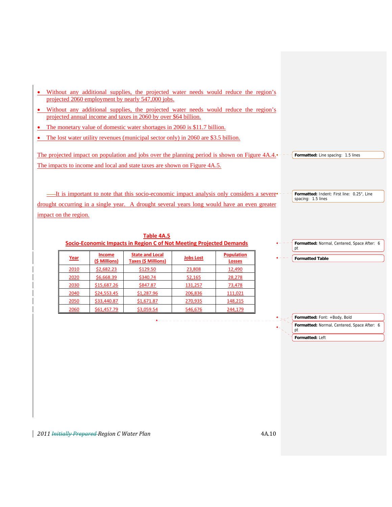- Without any additional supplies, the projected water needs would reduce the region's projected 2060 employment by nearly 547,000 jobs.
- Without any additional supplies, the projected water needs would reduce the region's projected annual income and taxes in 2060 by over \$64 billion.
- The monetary value of domestic water shortages in 2060 is \$11.7 billion.
- The lost water utility revenues (municipal sector only) in 2060 are \$3.5 billion.

The projected impact on population and jobs over the planning period is shown on Figure 4A.4.<sup>4</sup> + - - {Formatted: Line spacing: 1.5 lines The impacts to income and local and state taxes are shown on Figure 4A.5.

It is important to note that this socio-economic impact analysis only considers a severedrought occurring in a single year. A drought several years long would have an even greater impact on the region. **Formatted:** Indent: First line: 0.25", Line spacing: 1.5 lines

| Socio-Economic Impacts in Region C of Not Meeting Projected Demands |                                |                                                      |                  |                                    |  |  |  |
|---------------------------------------------------------------------|--------------------------------|------------------------------------------------------|------------------|------------------------------------|--|--|--|
| <u>Year</u>                                                         | <b>Income</b><br>(\$ Millions) | <b>State and Local</b><br><b>Taxes (\$ Millions)</b> | <b>Jobs Lost</b> | <b>Population</b><br><b>Losses</b> |  |  |  |
| <u>2010</u>                                                         | \$2,682.23                     | \$129.50                                             | 23,808           | 12,490                             |  |  |  |
| 2020                                                                | \$6,668.39                     | \$340.74                                             | 52,165           | 28,278                             |  |  |  |
| 2030                                                                | \$15,687.26                    | \$847.87                                             | 131,257          | <u>73,478</u>                      |  |  |  |
| 2040                                                                | \$24,553.45                    | \$1,287.96                                           | 206,836          | 111,021                            |  |  |  |
| 2050                                                                | <u>\$33,440.87</u>             | \$1,671.87                                           | 270,935          | <u>148,215</u>                     |  |  |  |
| 2060                                                                | \$61,457.79                    | \$3,059.54                                           | 546,676          | 244.179                            |  |  |  |

**Table 4A.5**



**Formatted:** Font: +Body, Bold

**Formatted:** Normal, Centered, Space After: 6

**Formatted Table** 

pt

**Formatted:** Left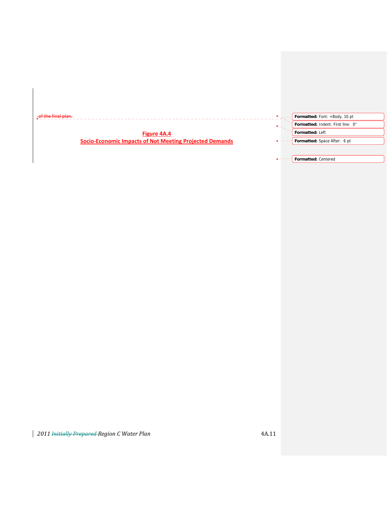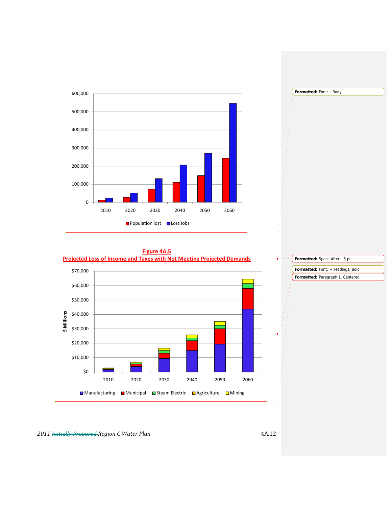



## **Figure 4A.5**



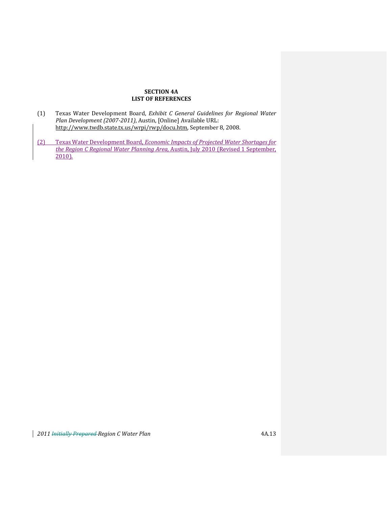## **SECTION 4A LIST OF REFERENCES**

- (1) Texas Water Development Board, *Exhibit C General Guidelines for Regional Water Plan Development (20072011)*, Austin, [Online] Available URL: http://www.twdb.state.tx.us/wrpi/rwp/docu.htm, September 8, 2008.
- (2) Texas Water Development Board, *Economic Impacts of Projected Water Shortages for the Region C Regional Water Planning Area,* Austin, July 2010 (Revised 1 September,  $2010$ ).